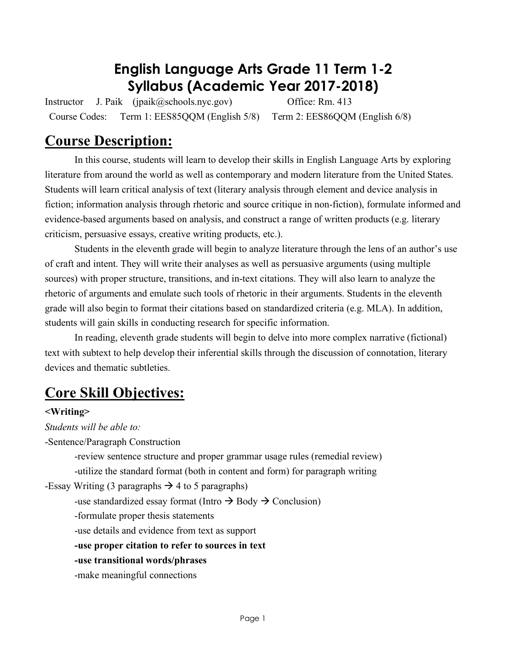## **English Language Arts Grade 11 Term 1-2 Syllabus (Academic Year 2017-2018)**

Instructor J. Paik (jpaik@schools.nyc.gov) Office: Rm. 413 Course Codes: Term 1: EES85QQM (English 5/8) Term 2: EES86QQM (English 6/8)

## **Course Description:**

In this course, students will learn to develop their skills in English Language Arts by exploring literature from around the world as well as contemporary and modern literature from the United States. Students will learn critical analysis of text (literary analysis through element and device analysis in fiction; information analysis through rhetoric and source critique in non-fiction), formulate informed and evidence-based arguments based on analysis, and construct a range of written products (e.g. literary criticism, persuasive essays, creative writing products, etc.).

Students in the eleventh grade will begin to analyze literature through the lens of an author's use of craft and intent. They will write their analyses as well as persuasive arguments (using multiple sources) with proper structure, transitions, and in-text citations. They will also learn to analyze the rhetoric of arguments and emulate such tools of rhetoric in their arguments. Students in the eleventh grade will also begin to format their citations based on standardized criteria (e.g. MLA). In addition, students will gain skills in conducting research for specific information.

In reading, eleventh grade students will begin to delve into more complex narrative (fictional) text with subtext to help develop their inferential skills through the discussion of connotation, literary devices and thematic subtleties.

## **Core Skill Objectives:**

## **<Writing>**

*Students will be able to:*

-Sentence/Paragraph Construction

-review sentence structure and proper grammar usage rules (remedial review) -utilize the standard format (both in content and form) for paragraph writing

-Essay Writing (3 paragraphs  $\rightarrow$  4 to 5 paragraphs)

-use standardized essay format (Intro  $\rightarrow$  Body  $\rightarrow$  Conclusion)

-formulate proper thesis statements

-use details and evidence from text as support

**-use proper citation to refer to sources in text**

**-use transitional words/phrases**

-make meaningful connections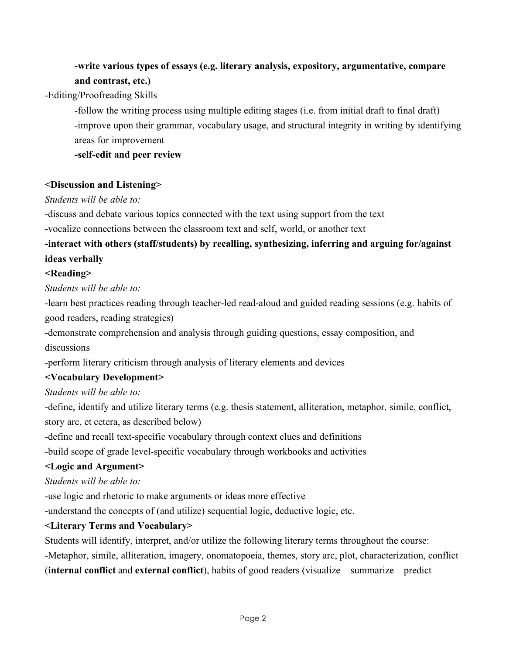## **-write various types of essays (e.g. literary analysis, expository, argumentative, compare and contrast, etc.)**

-Editing/Proofreading Skills

-follow the writing process using multiple editing stages (i.e. from initial draft to final draft) -improve upon their grammar, vocabulary usage, and structural integrity in writing by identifying areas for improvement

**-self-edit and peer review**

#### **<Discussion and Listening>**

#### *Students will be able to:*

-discuss and debate various topics connected with the text using support from the text

-vocalize connections between the classroom text and self, world, or another text

## **-interact with others (staff/students) by recalling, synthesizing, inferring and arguing for/against ideas verbally**

### **<Reading>**

*Students will be able to:*

-learn best practices reading through teacher-led read-aloud and guided reading sessions (e.g. habits of good readers, reading strategies)

-demonstrate comprehension and analysis through guiding questions, essay composition, and discussions

-perform literary criticism through analysis of literary elements and devices

## **<Vocabulary Development>**

*Students will be able to:*

-define, identify and utilize literary terms (e.g. thesis statement, alliteration, metaphor, simile, conflict, story arc, et cetera, as described below)

-define and recall text-specific vocabulary through context clues and definitions

-build scope of grade level-specific vocabulary through workbooks and activities

#### **<Logic and Argument>**

*Students will be able to:*

-use logic and rhetoric to make arguments or ideas more effective

-understand the concepts of (and utilize) sequential logic, deductive logic, etc.

#### **<Literary Terms and Vocabulary>**

Students will identify, interpret, and/or utilize the following literary terms throughout the course:

-Metaphor, simile, alliteration, imagery, onomatopoeia, themes, story arc, plot, characterization, conflict (**internal conflict** and **external conflict**), habits of good readers (visualize – summarize – predict –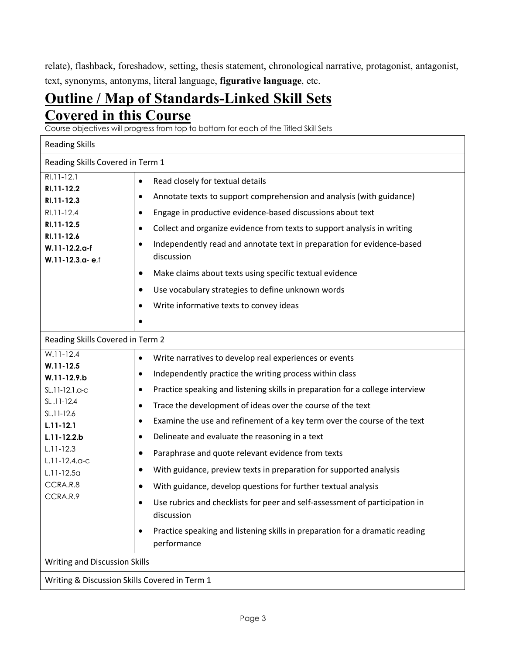relate), flashback, foreshadow, setting, thesis statement, chronological narrative, protagonist, antagonist, text, synonyms, antonyms, literal language, **figurative language**, etc.

## **Outline / Map of Standards-Linked Skill Sets Covered in this Course**

Course objectives will progress from top to bottom for each of the Titled Skill Sets

| <b>Reading Skills</b>                                                                                                                                                                                     |                                                                                                                                                                                                                                                                                                                                                                                                                                                                                                                                                                                                                                                                                                                                                                                                                                                                   |  |  |  |  |  |
|-----------------------------------------------------------------------------------------------------------------------------------------------------------------------------------------------------------|-------------------------------------------------------------------------------------------------------------------------------------------------------------------------------------------------------------------------------------------------------------------------------------------------------------------------------------------------------------------------------------------------------------------------------------------------------------------------------------------------------------------------------------------------------------------------------------------------------------------------------------------------------------------------------------------------------------------------------------------------------------------------------------------------------------------------------------------------------------------|--|--|--|--|--|
| Reading Skills Covered in Term 1                                                                                                                                                                          |                                                                                                                                                                                                                                                                                                                                                                                                                                                                                                                                                                                                                                                                                                                                                                                                                                                                   |  |  |  |  |  |
| RI.11-12.1<br>RI.11-12.2<br>RI.11-12.3<br>RI.11-12.4<br>RI.11-12.5<br>RI.11-12.6<br>W.11-12.2.a-f<br>W.11-12.3.a-ef                                                                                       | Read closely for textual details<br>$\bullet$<br>Annotate texts to support comprehension and analysis (with guidance)<br>٠<br>Engage in productive evidence-based discussions about text<br>Collect and organize evidence from texts to support analysis in writing<br>$\bullet$<br>Independently read and annotate text in preparation for evidence-based<br>$\bullet$<br>discussion<br>Make claims about texts using specific textual evidence<br>Use vocabulary strategies to define unknown words<br>$\bullet$<br>Write informative texts to convey ideas                                                                                                                                                                                                                                                                                                     |  |  |  |  |  |
| Reading Skills Covered in Term 2                                                                                                                                                                          |                                                                                                                                                                                                                                                                                                                                                                                                                                                                                                                                                                                                                                                                                                                                                                                                                                                                   |  |  |  |  |  |
| $W.11-12.4$<br>$W.11 - 12.5$<br>W.11-12.9.b<br>SL.11-12.1.a-c<br>SL.11-12.4<br>SL.11-12.6<br>$L.11 - 12.1$<br>$L.11 - 12.2.b$<br>$L.11 - 12.3$<br>$L.11-12.4.0-c$<br>$L.11-12.5a$<br>CCRA.R.8<br>CCRA.R.9 | Write narratives to develop real experiences or events<br>$\bullet$<br>Independently practice the writing process within class<br>$\bullet$<br>Practice speaking and listening skills in preparation for a college interview<br>$\bullet$<br>Trace the development of ideas over the course of the text<br>$\bullet$<br>Examine the use and refinement of a key term over the course of the text<br>٠<br>Delineate and evaluate the reasoning in a text<br>٠<br>Paraphrase and quote relevant evidence from texts<br>$\bullet$<br>With guidance, preview texts in preparation for supported analysis<br>With guidance, develop questions for further textual analysis<br>Use rubrics and checklists for peer and self-assessment of participation in<br>discussion<br>Practice speaking and listening skills in preparation for a dramatic reading<br>performance |  |  |  |  |  |
| Writing and Discussion Skills                                                                                                                                                                             |                                                                                                                                                                                                                                                                                                                                                                                                                                                                                                                                                                                                                                                                                                                                                                                                                                                                   |  |  |  |  |  |
| Writing & Discussion Skills Covered in Term 1                                                                                                                                                             |                                                                                                                                                                                                                                                                                                                                                                                                                                                                                                                                                                                                                                                                                                                                                                                                                                                                   |  |  |  |  |  |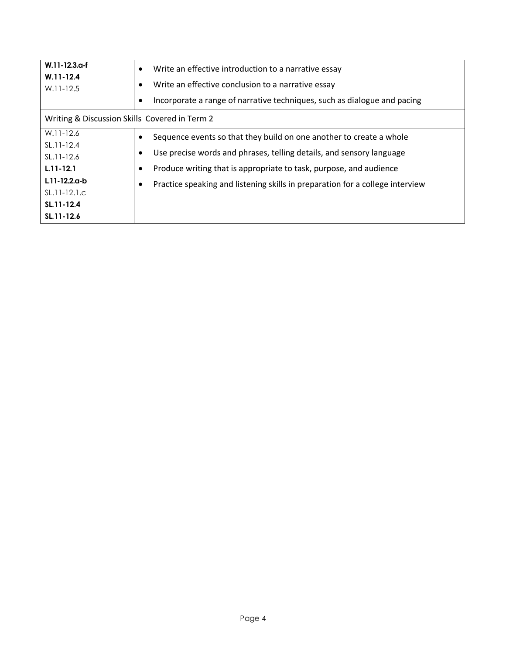| W.11-12.3.a-f<br>$W.11 - 12.4$<br>$W.11-12.5$ | Write an effective introduction to a narrative essay<br>٠<br>Write an effective conclusion to a narrative essay<br>Incorporate a range of narrative techniques, such as dialogue and pacing |  |  |  |  |
|-----------------------------------------------|---------------------------------------------------------------------------------------------------------------------------------------------------------------------------------------------|--|--|--|--|
| Writing & Discussion Skills Covered in Term 2 |                                                                                                                                                                                             |  |  |  |  |
| $W.11-12.6$                                   | Sequence events so that they build on one another to create a whole                                                                                                                         |  |  |  |  |
| $SL.11-12.4$                                  |                                                                                                                                                                                             |  |  |  |  |
| $SL.11-12.6$                                  | Use precise words and phrases, telling details, and sensory language                                                                                                                        |  |  |  |  |
| $L.11 - 12.1$                                 | Produce writing that is appropriate to task, purpose, and audience                                                                                                                          |  |  |  |  |
| $L.11 - 12.2a - b$                            | Practice speaking and listening skills in preparation for a college interview                                                                                                               |  |  |  |  |
| $SL.11-12.1.c$                                |                                                                                                                                                                                             |  |  |  |  |
| SL.11-12.4                                    |                                                                                                                                                                                             |  |  |  |  |
| SL.11-12.6                                    |                                                                                                                                                                                             |  |  |  |  |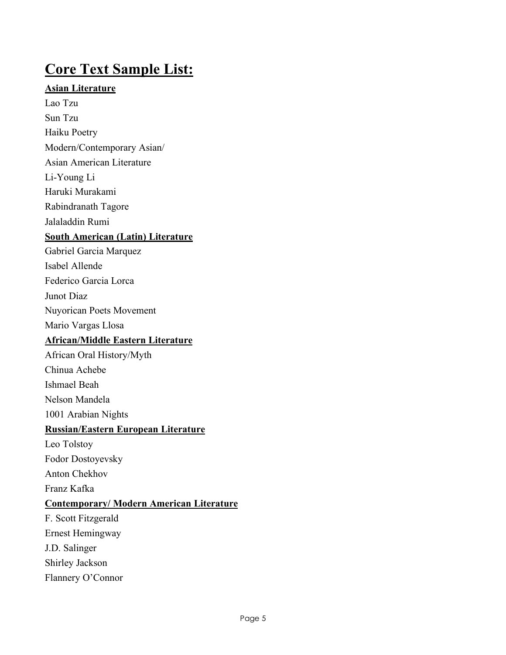## **Core Text Sample List:**

## **Asian Literature**

Lao Tzu Sun Tzu

Haiku Poetry

Modern/Contemporary Asian/

Asian American Literature

Li-Young Li

Haruki Murakami

Rabindranath Tagore

Jalaladdin Rumi

## **South American (Latin) Literature**

Gabriel Garcia Marquez

Isabel Allende

Federico Garcia Lorca

Junot Diaz

Nuyorican Poets Movement

Mario Vargas Llosa

## **African/Middle Eastern Literature**

African Oral History/Myth

Chinua Achebe

Ishmael Beah

Nelson Mandela

1001 Arabian Nights

## **Russian/Eastern European Literature**

Leo Tolstoy

Fodor Dostoyevsky

Anton Chekhov

Franz Kafka

## **Contemporary/ Modern American Literature**

F. Scott Fitzgerald Ernest Hemingway J.D. Salinger Shirley Jackson Flannery O'Connor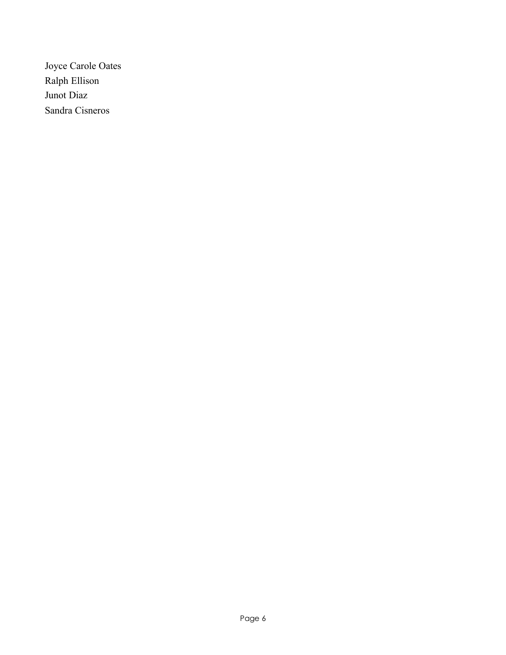Joyce Carole Oates Ralph Ellison Junot Diaz Sandra Cisneros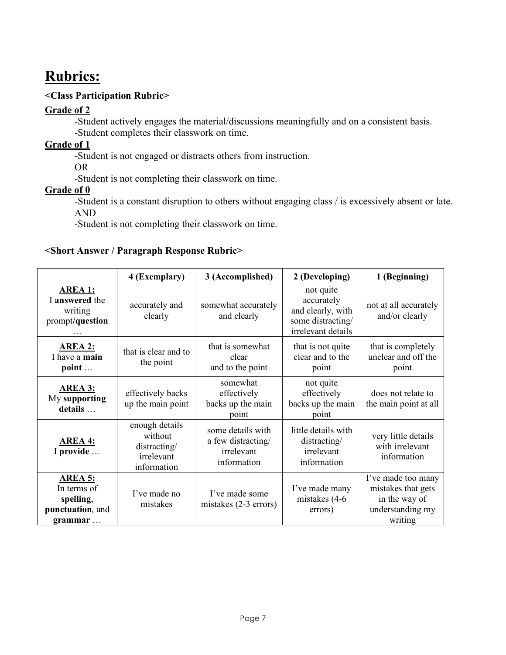## **Rubrics:**

## **<Class Participation Rubric>**

## **Grade of 2**

-Student actively engages the material/discussions meaningfully and on a consistent basis. -Student completes their classwork on time.

## **Grade of 1**

-Student is not engaged or distracts others from instruction.

OR

-Student is not completing their classwork on time.

## **Grade of 0**

-Student is a constant disruption to others without engaging class / is excessively absent or late. AND

-Student is not completing their classwork on time.

#### **<Short Answer / Paragraph Response Rubric>**

|                                                                                   | 4 (Exemplary)                                                          | 3 (Accomplished)                                                     | 2 (Developing)                                                                          | 1 (Beginning)                                                                            |
|-----------------------------------------------------------------------------------|------------------------------------------------------------------------|----------------------------------------------------------------------|-----------------------------------------------------------------------------------------|------------------------------------------------------------------------------------------|
| <b>AREA 1:</b><br>I answered the<br>writing<br>prompt/question                    | accurately and<br>clearly                                              | somewhat accurately<br>and clearly                                   | not quite<br>accurately<br>and clearly, with<br>some distracting/<br>irrelevant details | not at all accurately<br>and/or clearly                                                  |
| <b>AREA 2:</b><br>I have a main<br>point                                          | that is clear and to<br>the point                                      | that is somewhat<br>clear<br>and to the point                        | that is not quite<br>clear and to the<br>point                                          | that is completely<br>unclear and off the<br>point                                       |
| <b>AREA 3:</b><br>My supporting<br>details                                        | effectively backs<br>up the main point                                 | somewhat<br>effectively<br>backs up the main<br>point                | not quite<br>effectively<br>backs up the main<br>point                                  | does not relate to<br>the main point at all                                              |
| <b>AREA 4:</b><br>I provide                                                       | enough details<br>without<br>distracting/<br>irrelevant<br>information | some details with<br>a few distracting/<br>irrelevant<br>information | little details with<br>distracting/<br>irrelevant<br>information                        | very little details<br>with irrelevant<br>information                                    |
| <b>AREA 5:</b><br>In terms of<br>spelling,<br>punctuation, and<br>$grammar \dots$ | I've made no<br>mistakes                                               | I've made some<br>mistakes $(2-3$ errors)                            | I've made many<br>mistakes (4-6<br>errors)                                              | I've made too many<br>mistakes that gets<br>in the way of<br>understanding my<br>writing |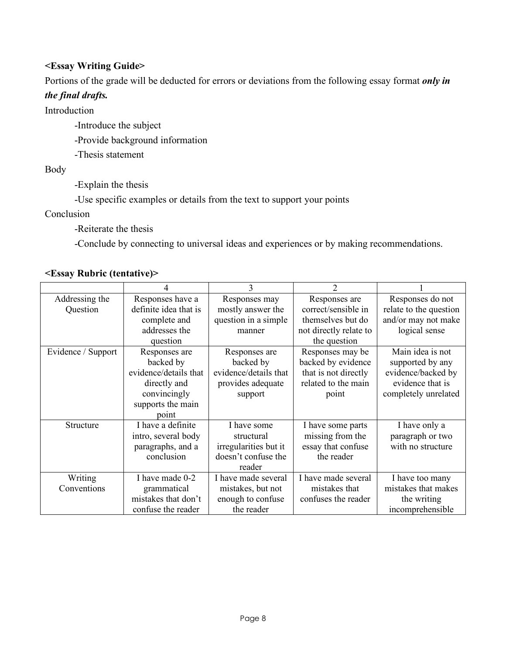### **<Essay Writing Guide>**

Portions of the grade will be deducted for errors or deviations from the following essay format *only in* 

### *the final drafts.*

Introduction

-Introduce the subject

-Provide background information

-Thesis statement

Body

-Explain the thesis

-Use specific examples or details from the text to support your points

Conclusion

-Reiterate the thesis

-Conclude by connecting to universal ideas and experiences or by making recommendations.

### **<Essay Rubric (tentative)>**

| Addressing the     | Responses have a      | Responses may         | Responses are          | Responses do not       |
|--------------------|-----------------------|-----------------------|------------------------|------------------------|
| Question           | definite idea that is | mostly answer the     | correct/sensible in    | relate to the question |
|                    | complete and          | question in a simple  | themselves but do      | and/or may not make    |
|                    | addresses the         | manner                | not directly relate to | logical sense          |
|                    | question              |                       | the question           |                        |
| Evidence / Support | Responses are         | Responses are         | Responses may be       | Main idea is not       |
|                    | backed by             | backed by             | backed by evidence     | supported by any       |
|                    | evidence/details that | evidence/details that | that is not directly   | evidence/backed by     |
|                    | directly and          | provides adequate     | related to the main    | evidence that is       |
|                    | convincingly          | support               | point                  | completely unrelated   |
|                    | supports the main     |                       |                        |                        |
|                    | point                 |                       |                        |                        |
| Structure          | I have a definite     | I have some           | I have some parts      | I have only a          |
|                    | intro, several body   | structural            | missing from the       | paragraph or two       |
|                    | paragraphs, and a     | irregularities but it | essay that confuse     | with no structure      |
|                    | conclusion            | doesn't confuse the   | the reader             |                        |
|                    |                       | reader                |                        |                        |
| Writing            | I have made 0-2       | I have made several   | I have made several    | I have too many        |
| Conventions        | grammatical           | mistakes, but not     | mistakes that          | mistakes that makes    |
|                    | mistakes that don't   | enough to confuse     | confuses the reader    | the writing            |
|                    | confuse the reader    | the reader            |                        | incomprehensible       |